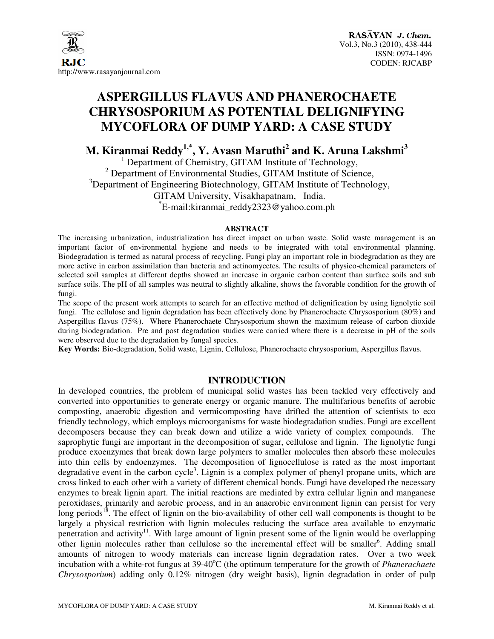

# **ASPERGILLUS FLAVUS AND PHANEROCHAETE CHRYSOSPORIUM AS POTENTIAL DELIGNIFYING MYCOFLORA OF DUMP YARD: A CASE STUDY**

**M. Kiranmai Reddy1,\*, Y. Avasn Maruthi<sup>2</sup> and K. Aruna Lakshmi<sup>3</sup>**

1 Department of Chemistry, GITAM Institute of Technology, <sup>2</sup> Department of Environmental Studies, GITAM Institute of Science,  $3$ Department of Engineering Biotechnology, GITAM Institute of Technology, GITAM University, Visakhapatnam, India. \* E-mail:kiranmai\_reddy2323@yahoo.com.ph

#### **ABSTRACT**

The increasing urbanization, industrialization has direct impact on urban waste. Solid waste management is an important factor of environmental hygiene and needs to be integrated with total environmental planning. Biodegradation is termed as natural process of recycling. Fungi play an important role in biodegradation as they are more active in carbon assimilation than bacteria and actinomycetes. The results of physico-chemical parameters of selected soil samples at different depths showed an increase in organic carbon content than surface soils and sub surface soils. The pH of all samples was neutral to slightly alkaline, shows the favorable condition for the growth of fungi.

The scope of the present work attempts to search for an effective method of delignification by using lignolytic soil fungi. The cellulose and lignin degradation has been effectively done by Phanerochaete Chrysosporium (80%) and Aspergillus flavus (75%). Where Phanerochaete Chrysosporium shown the maximum release of carbon dioxide during biodegradation. Pre and post degradation studies were carried where there is a decrease in pH of the soils were observed due to the degradation by fungal species.

**Key Words:** Bio-degradation, Solid waste, Lignin, Cellulose, Phanerochaete chrysosporium, Aspergillus flavus.

#### **INTRODUCTION**

In developed countries, the problem of municipal solid wastes has been tackled very effectively and converted into opportunities to generate energy or organic manure. The multifarious benefits of aerobic composting, anaerobic digestion and vermicomposting have drifted the attention of scientists to eco friendly technology, which employs microorganisms for waste biodegradation studies. Fungi are excellent decomposers because they can break down and utilize a wide variety of complex compounds. The saprophytic fungi are important in the decomposition of sugar, cellulose and lignin. The lignolytic fungi produce exoenzymes that break down large polymers to smaller molecules then absorb these molecules into thin cells by endoenzymes. The decomposition of lignocellulose is rated as the most important degradative event in the carbon cycle<sup>3</sup>. Lignin is a complex polymer of phenyl propane units, which are cross linked to each other with a variety of different chemical bonds. Fungi have developed the necessary enzymes to break lignin apart. The initial reactions are mediated by extra cellular lignin and manganese peroxidases, primarily and aerobic process, and in an anaerobic environment lignin can persist for very long periods<sup>18</sup>. The effect of lignin on the bio-availability of other cell wall components is thought to be largely a physical restriction with lignin molecules reducing the surface area available to enzymatic penetration and activity<sup>11</sup>. With large amount of lignin present some of the lignin would be overlapping other lignin molecules rather than cellulose so the incremental effect will be smaller<sup>6</sup>. Adding small amounts of nitrogen to woody materials can increase lignin degradation rates. Over a two week incubation with a white-rot fungus at 39-40<sup>o</sup>C (the optimum temperature for the growth of *Phanerachaete Chrysosporium*) adding only 0.12% nitrogen (dry weight basis), lignin degradation in order of pulp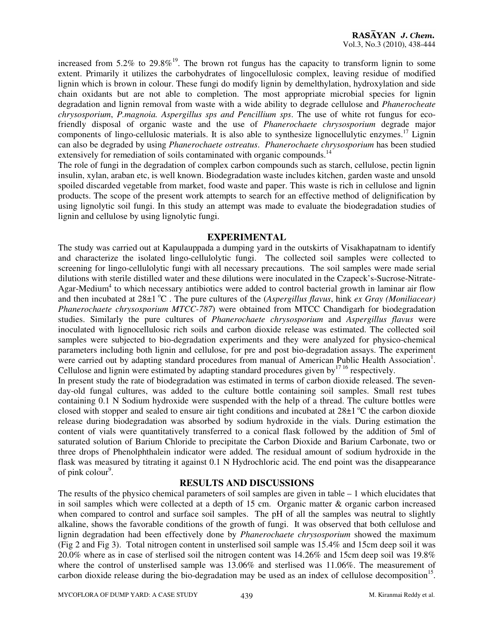increased from 5.2% to 29.8%<sup>19</sup>. The brown rot fungus has the capacity to transform lignin to some extent. Primarily it utilizes the carbohydrates of lingocellulosic complex, leaving residue of modified lignin which is brown in colour. These fungi do modify lignin by demelthylation, hydroxylation and side chain oxidants but are not able to completion. The most appropriate microbial species for lignin degradation and lignin removal from waste with a wide ability to degrade cellulose and *Phanerocheate chrysosporium*, *P.magnoia. Aspergillus sps and Pencillium sps*. The use of white rot fungus for ecofriendly disposal of organic waste and the use of *Phanerochaete chrysosporium* degrade major components of lingo-cellulosic materials. It is also able to synthesize lignocellulytic enzymes.<sup>17</sup> Lignin can also be degraded by using *Phanerochaete ostreatus*. *Phanerochaete chrysosporium* has been studied extensively for remediation of soils contaminated with organic compounds.<sup>14</sup>

The role of fungi in the degradation of complex carbon compounds such as starch, cellulose, pectin lignin insulin, xylan, araban etc, is well known. Biodegradation waste includes kitchen, garden waste and unsold spoiled discarded vegetable from market, food waste and paper. This waste is rich in cellulose and lignin products. The scope of the present work attempts to search for an effective method of delignification by using lignolytic soil fungi. In this study an attempt was made to evaluate the biodegradation studies of lignin and cellulose by using lignolytic fungi.

#### **EXPERIMENTAL**

The study was carried out at Kapulauppada a dumping yard in the outskirts of Visakhapatnam to identify and characterize the isolated lingo-cellulolytic fungi. The collected soil samples were collected to screening for lingo-cellulolytic fungi with all necessary precautions. The soil samples were made serial dilutions with sterile distilled water and these dilutions were inoculated in the Czapeck's-Sucrose-Nitrate-Agar-Medium<sup>4</sup> to which necessary antibiotics were added to control bacterial growth in laminar air flow and then incubated at 28±1<sup>o</sup>C. The pure cultures of the (*Aspergillus flavus*, hink *ex Gray (Moniliacear) Phanerochaete chrysosporium MTCC-787*) were obtained from MTCC Chandigarh for biodegradation studies. Similarly the pure cultures of *Phanerochaete chrysosporium* and *Aspergillus flavus* were inoculated with lignocellulosic rich soils and carbon dioxide release was estimated. The collected soil samples were subjected to bio-degradation experiments and they were analyzed for physico-chemical parameters including both lignin and cellulose, for pre and post bio-degradation assays. The experiment were carried out by adapting standard procedures from manual of American Public Health Association<sup>1</sup>. Cellulose and lignin were estimated by adapting standard procedures given by  $1716$  respectively.

In present study the rate of biodegradation was estimated in terms of carbon dioxide released. The sevenday-old fungal cultures, was added to the culture bottle containing soil samples. Small rest tubes containing 0.1 N Sodium hydroxide were suspended with the help of a thread. The culture bottles were closed with stopper and sealed to ensure air tight conditions and incubated at  $28\pm1^{\circ}C$  the carbon dioxide release during biodegradation was absorbed by sodium hydroxide in the vials. During estimation the content of vials were quantitatively transferred to a conical flask followed by the addition of 5ml of saturated solution of Barium Chloride to precipitate the Carbon Dioxide and Barium Carbonate, two or three drops of Phenolphthalein indicator were added. The residual amount of sodium hydroxide in the flask was measured by titrating it against 0.1 N Hydrochloric acid. The end point was the disappearance of pink colour $9$ .

#### **RESULTS AND DISCUSSIONS**

The results of the physico chemical parameters of soil samples are given in table – 1 which elucidates that in soil samples which were collected at a depth of  $15 \text{ cm}$ . Organic matter & organic carbon increased when compared to control and surface soil samples. The pH of all the samples was neutral to slightly alkaline, shows the favorable conditions of the growth of fungi. It was observed that both cellulose and lignin degradation had been effectively done by *Phanerochaete chrysosporium* showed the maximum (Fig 2 and Fig 3). Total nitrogen content in unsterlised soil sample was 15.4% and 15cm deep soil it was 20.0% where as in case of sterlised soil the nitrogen content was 14.26% and 15cm deep soil was 19.8% where the control of unsterlised sample was 13.06% and sterlised was 11.06%. The measurement of carbon dioxide release during the bio-degradation may be used as an index of cellulose decomposition<sup>15</sup>.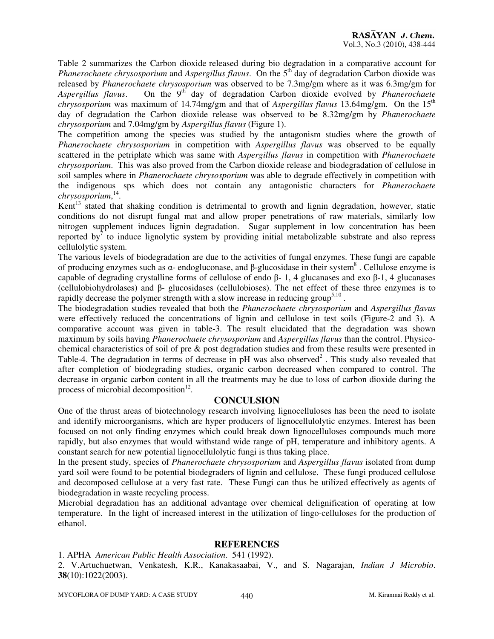Table 2 summarizes the Carbon dioxide released during bio degradation in a comparative account for *Phanerochaete chrysosporium and Aspergillus flavus.* On the 5<sup>th</sup> day of degradation Carbon dioxide was released by *Phanerochaete chrysosporium* was observed to be 7.3mg/gm where as it was 6.3mg/gm for Aspergillus flavus. On the 9<sup>th</sup> day of degradation Carbon dioxide evolved by *Phanerochaete chrysosporium* was maximum of 14.74mg/gm and that of *Aspergillus flavus* 13.64mg/gm. On the 15<sup>th</sup> day of degradation the Carbon dioxide release was observed to be 8.32mg/gm by *Phanerochaete chrysosporium* and 7.04mg/gm by *Aspergillus flavus* (Figure 1).

The competition among the species was studied by the antagonism studies where the growth of *Phanerochaete chrysosporium* in competition with *Aspergillus flavus* was observed to be equally scattered in the petriplate which was same with *Aspergillus flavus* in competition with *Phanerochaete chrysosporium*. This was also proved from the Carbon dioxide release and biodegradation of cellulose in soil samples where in *Phanerochaete chrysosporium* was able to degrade effectively in competition with the indigenous sps which does not contain any antagonistic characters for *Phanerochaete chrysosporium*, 14 .

Kent<sup>13</sup> stated that shaking condition is detrimental to growth and lignin degradation, however, static conditions do not disrupt fungal mat and allow proper penetrations of raw materials, similarly low nitrogen supplement induces lignin degradation. Sugar supplement in low concentration has been reported by<sup>7</sup> to induce lignolytic system by providing initial metabolizable substrate and also repress cellulolytic system.

The various levels of biodegradation are due to the activities of fungal enzymes. These fungi are capable of producing enzymes such as  $\alpha$ - endogluconase, and β-glucosidase in their system<sup>8</sup>. Cellulose enzyme is capable of degrading crystalline forms of cellulose of endo β- 1, 4 glucanases and exo β-1, 4 glucanases (cellulobiohydrolases) and β- glucosidases (cellulobioses). The net effect of these three enzymes is to rapidly decrease the polymer strength with a slow increase in reducing group<sup>5,10</sup>.

The biodegradation studies revealed that both the *Phanerochaete chrysosporium* and *Aspergillus flavus* were effectively reduced the concentrations of lignin and cellulose in test soils (Figure-2 and 3). A comparative account was given in table-3. The result elucidated that the degradation was shown maximum by soils having *Phanerochaete chrysosporium* and *Aspergillus flavus* than the control. Physicochemical characteristics of soil of pre & post degradation studies and from these results were presented in Table-4. The degradation in terms of decrease in pH was also observed<sup>2</sup>. This study also revealed that after completion of biodegrading studies, organic carbon decreased when compared to control. The decrease in organic carbon content in all the treatments may be due to loss of carbon dioxide during the process of microbial decomposition $12$ .

## **CONCULSION**

One of the thrust areas of biotechnology research involving lignocelluloses has been the need to isolate and identify microorganisms, which are hyper producers of lignocellulolytic enzymes. Interest has been focused on not only finding enzymes which could break down lignocelluloses compounds much more rapidly, but also enzymes that would withstand wide range of pH, temperature and inhibitory agents. A constant search for new potential lignocellulolytic fungi is thus taking place.

In the present study, species of *Phanerochaete chrysosporium* and *Aspergillus flavus* isolated from dump yard soil were found to be potential biodegraders of lignin and cellulose. These fungi produced cellulose and decomposed cellulose at a very fast rate. These Fungi can thus be utilized effectively as agents of biodegradation in waste recycling process.

Microbial degradation has an additional advantage over chemical delignification of operating at low temperature. In the light of increased interest in the utilization of lingo-celluloses for the production of ethanol.

## **REFERENCES**

1. APHA *American Public Health Association*. 541 (1992).

2. V.Artuchuetwan, Venkatesh, K.R., Kanakasaabai, V., and S. Nagarajan, *Indian J Microbio*. **38**(10):1022(2003).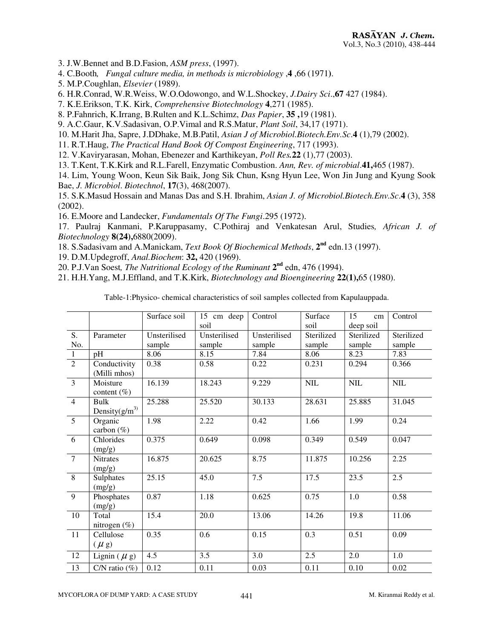3. J.W.Bennet and B.D.Fasion, *ASM press*, (1997).

- 4. C.Booth*, Fungal culture media, in methods is microbiology* ,**4** ,66 (1971**)**.
- 5. M.P.Coughlan, *Elsevier* (1989).
- 6. H.R.Conrad, W.R.Weiss, W.O.Odowongo, and W.L.Shockey, *J.Dairy Sci*.,**67** 427 (1984).
- 7. K.E.Erikson, T.K. Kirk, *Comprehensive Biotechnology* **4**,271 (1985).
- 8. P.Fahnrich, K.Irrang, B.Rulten and K.L.Schimz, *Das Papier*, **35 ,**19 (1981).
- 9. A.C.Gaur, K.V.Sadasivan, O.P.Vimal and R.S.Matur, *Plant Soil*, 34,17 (1971).
- 10. M.Harit Jha, Sapre, J.DDhake, M.B.Patil, *Asian J of Microbiol.Biotech.Env.Sc*.**4** (1),79 (2002).
- 11. R.T.Haug, *The Practical Hand Book Of Compost Engineering*, 717 (1993).
- 12. V.Kaviryarasan, Mohan, Ebenezer and Karthikeyan, *Poll Res.***22** (1),77 (2003).
- 13. T.Kent, T.K.Kirk and R.L.Farell, Enzymatic Combustion. *Ann, Rev. of microbial*.**41,**465 (1987).

14. Lim, Young Woon, Keun Sik Baik, Jong Sik Chun, Ksng Hyun Lee, Won Jin Jung and Kyung Sook Bae, *J. Microbiol*. *Biotechnol*, **17**(3), 468(2007).

15. S.K.Masud Hossain and Manas Das and S.H. Ibrahim, *Asian J. of Microbiol.Biotech.Env.Sc*.**4** (3), 358 (2002).

16. E.Moore and Landecker, *Fundamentals Of The Fungi*.295 (1972).

17. Paulraj Kanmani, P.Karuppasamy, C.Pothiraj and Venkatesan Arul, Studies*, African J. of Biotechnology* **8(24),**6880(2009).

- 18. S.Sadasivam and A.Manickam, *Text Book Of Biochemical Methods*, **2nd** edn.13 (1997).
- 19. D.M.Updegroff, *Anal.Biochem*: **32,** 420 (1969).
- 20. P.J.Van Soest, The Nutritional Ecology of the Ruminant 2<sup>nd</sup> edn, 476 (1994).
- 21. H.H.Yang, M.J.Effland, and T.K.Kirk, *Biotechnology and Bioengineering* **22(1),**65 (1980).

Table-1:Physico- chemical characteristics of soil samples collected from Kapulauppada.

|                  |                              | Surface soil | 15 cm deep   | Control      | Surface      | 15<br>cm     | Control      |  |
|------------------|------------------------------|--------------|--------------|--------------|--------------|--------------|--------------|--|
|                  |                              |              | soil         |              | soil         | deep soil    |              |  |
| $\overline{S}$ . | Parameter                    | Unsterilised | Unsterilised | Unsterilised | Sterilized   | Sterilized   | Sterilized   |  |
| No.              |                              | sample       | sample       | sample       | sample       | sample       | sample       |  |
| $\overline{1}$   | pH                           | 8.06         | 8.15         | 7.84         | 8.06         | 8.23         | 7.83         |  |
| $\overline{2}$   | Conductivity<br>(Milli mhos) | 0.38         | 0.58         | 0.22         | 0.231        | 0.294        | 0.366        |  |
| $\overline{3}$   | Moisture<br>content $(\%)$   | 16.139       | 18.243       | 9.229        | $\text{NIL}$ | $\text{NIL}$ | $\text{NIL}$ |  |
| $\overline{4}$   | Bulk<br>Density $(g/m^3)$    | 25.288       | 25.520       | 30.133       | 28.631       | 25.885       | 31.045       |  |
| $\overline{5}$   | Organic<br>carbon (%)        | 1.98         | 2.22         | 0.42         | 1.66         | 1.99         | 0.24         |  |
| $6\overline{6}$  | Chlorides<br>(mg/g)          | 0.375        | 0.649        | 0.098        | 0.349        | 0.549        | 0.047        |  |
| $\overline{7}$   | <b>Nitrates</b><br>(mg/g)    | 16.875       | 20.625       | 8.75         | 11.875       | 10.256       | 2.25         |  |
| $\sqrt{8}$       | Sulphates<br>(mg/g)          | 25.15        | 45.0         | 7.5          | 17.5         | 23.5         | 2.5          |  |
| $\overline{9}$   | Phosphates<br>(mg/g)         | 0.87         | 1.18         | 0.625        | 0.75         | 1.0          | 0.58         |  |
| 10               | Total<br>nitrogen $(\%)$     | 15.4         | 20.0         | 13.06        | 14.26        | 19.8         | 11.06        |  |
| 11               | Cellulose<br>$(\mu g)$       | 0.35         | 0.6          | 0.15         | 0.3          | 0.51         | 0.09         |  |
| 12               | Lignin $(\mu g)$             | 4.5          | 3.5          | 3.0          | 2.5          | 2.0          | 1.0          |  |
| $\overline{13}$  | C/N ratio $(\%)$             | 0.12         | 0.11         | 0.03         | 0.11         | 0.10         | 0.02         |  |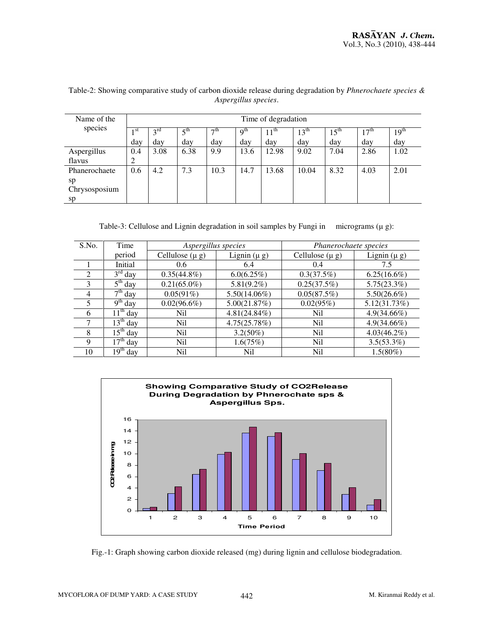| Name of the   | Time of degradation |                 |                 |           |                 |                  |                  |                  |                  |                  |
|---------------|---------------------|-----------------|-----------------|-----------|-----------------|------------------|------------------|------------------|------------------|------------------|
| species       | st                  | 3 <sup>rd</sup> | $5^{\text{th}}$ | $\neg$ th | 9 <sup>th</sup> | $11^{\text{th}}$ | $13^{\text{th}}$ | $15^{\text{th}}$ | 17 <sup>th</sup> | 19 <sup>th</sup> |
|               | day                 | day             | day             | day       | day             | day              | day              | day              | day              | day              |
| Aspergillus   | 0.4                 | 3.08            | 6.38            | 9.9       | 13.6            | 12.98            | 9.02             | 7.04             | 2.86             | 1.02             |
| flavus        | $\overline{2}$      |                 |                 |           |                 |                  |                  |                  |                  |                  |
| Phanerochaete | 0.6                 | 4.2             | 7.3             | 10.3      | 14.7            | 13.68            | 10.04            | 8.32             | 4.03             | 2.01             |
| sp            |                     |                 |                 |           |                 |                  |                  |                  |                  |                  |
| Chrysosposium |                     |                 |                 |           |                 |                  |                  |                  |                  |                  |
| sp            |                     |                 |                 |           |                 |                  |                  |                  |                  |                  |

Table-2: Showing comparative study of carbon dioxide release during degradation by *Phnerochaete species & Aspergillus species*.

Table-3: Cellulose and Lignin degradation in soil samples by Fungi in micrograms  $(\mu g)$ :

| S.No.          | Time                     | Aspergillus species |                  | Phanerochaete species |                  |  |  |
|----------------|--------------------------|---------------------|------------------|-----------------------|------------------|--|--|
|                | period                   | Cellulose $(\mu g)$ | Lignin $(\mu g)$ | Cellulose $(\mu g)$   | Lignin $(\mu g)$ |  |  |
|                | Initial                  | 0.6                 | 6.4              | 0.4                   | 7.5              |  |  |
| $\mathcal{L}$  | $3rd$ day                | $0.35(44.8\%)$      | 6.0(6.25%)       | 0.3(37.5%)            | $6.25(16.6\%)$   |  |  |
| 3              | $\overline{5^{th}$ day   | $0.21(65.0\%)$      | $5.81(9.2\%)$    | 0.25(37.5%)           | 5.75(23.3%)      |  |  |
| $\overline{4}$ | $7th$ day                | 0.05(91%)           | $5.50(14.06\%)$  | 0.05(87.5%)           | $5.50(26.6\%)$   |  |  |
| 5              | $\overline{9^{th}}$ day  | $0.02(96.6\%)$      | 5.00(21.87%)     | 0.02(95%)             | 5.12(31.73%)     |  |  |
| 6              | $11th$ day               | Nil                 | $4.81(24.84\%)$  | Nil                   | $4.9(34.66\%)$   |  |  |
| 7              | $13th$ day               | N <sub>il</sub>     | 4.75(25.78%)     | N <sub>il</sub>       | $4.9(34.66\%)$   |  |  |
| 8              | $15th$ day               | N <sub>il</sub>     | $3.2(50\%)$      | N <sub>il</sub>       | $4.03(46.2\%)$   |  |  |
| 9              | $\overline{17^{th}}$ day | Nil                 | 1.6(75%)         | N <sub>il</sub>       | $3.5(53.3\%)$    |  |  |
| 10             | $19th$ day               | Nil                 | Nil              | <b>Nil</b>            | $1.5(80\%)$      |  |  |



Fig.-1: Graph showing carbon dioxide released (mg) during lignin and cellulose biodegradation.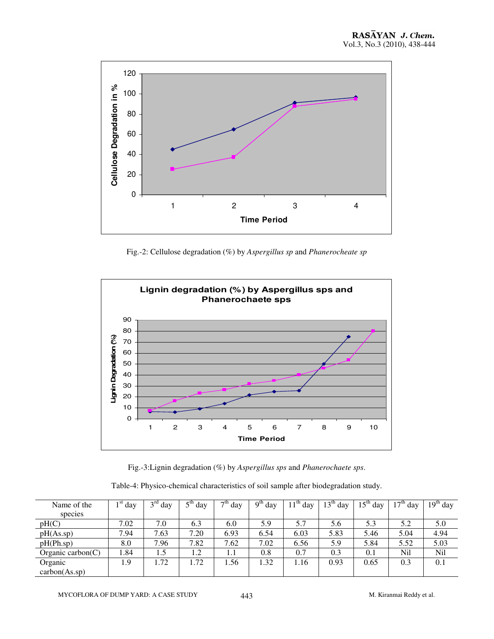

Fig.-2: Cellulose degradation (%) by *Aspergillus sp* and *Phanerocheate sp* 



Fig.-3:Lignin degradation (%) by *Aspergillus sps* and *Phanerochaete sps*.

| Table-4: Physico-chemical characteristics of soil sample after biodegradation study. |  |  |
|--------------------------------------------------------------------------------------|--|--|
|                                                                                      |  |  |

| Name of the          | $1st$ day | $3^{\text{rd}}$<br>day | $5th$ day | $7^{\overline{\text{th}}}$ day | $9th$ day | $11th$ day | $13^{\rm m}$<br>day | $15th$ day | $17th$ day | $19th$ day |
|----------------------|-----------|------------------------|-----------|--------------------------------|-----------|------------|---------------------|------------|------------|------------|
| species              |           |                        |           |                                |           |            |                     |            |            |            |
| pH(C)                | 7.02      | 7.0                    | 6.3       | 6.0                            | 5.9       | 5.7        | 5.6                 | 5.3        | 5.2        | 5.0        |
| pH(As.sp)            | 7.94      | 7.63                   | 7.20      | 6.93                           | 6.54      | 6.03       | 5.83                | 5.46       | 5.04       | 4.94       |
| pH(Ph(sp))           | 8.0       | 7.96                   | 7.82      | 7.62                           | 7.02      | 6.56       | 5.9                 | 5.84       | 5.52       | 5.03       |
| Organic carbon $(C)$ | 1.84      | 1.5                    | 1.2       | 1.1                            | 0.8       | 0.7        | 0.3                 | 0.1        | Nil        | Nil        |
| Organic              | 1.9       | 72                     | .72       | . . 56                         | 1.32      | 1.16       | 0.93                | 0.65       | 0.3        | 0.1        |
| carbon(As.sp)        |           |                        |           |                                |           |            |                     |            |            |            |